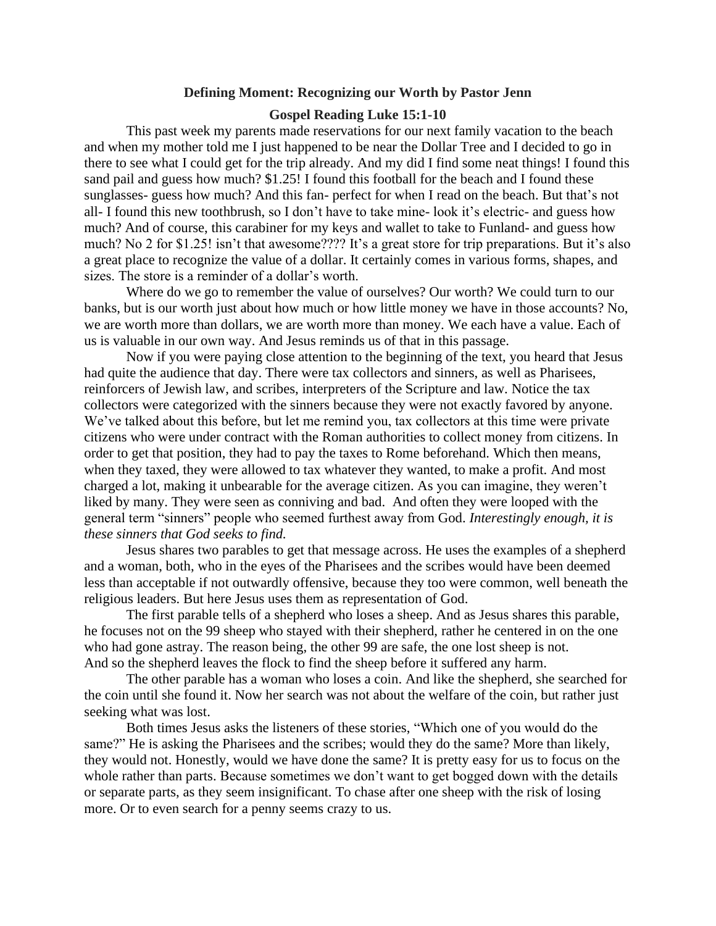## **Defining Moment: Recognizing our Worth by Pastor Jenn**

## **Gospel Reading Luke 15:1-10**

This past week my parents made reservations for our next family vacation to the beach and when my mother told me I just happened to be near the Dollar Tree and I decided to go in there to see what I could get for the trip already. And my did I find some neat things! I found this sand pail and guess how much? \$1.25! I found this football for the beach and I found these sunglasses- guess how much? And this fan- perfect for when I read on the beach. But that's not all- I found this new toothbrush, so I don't have to take mine- look it's electric- and guess how much? And of course, this carabiner for my keys and wallet to take to Funland- and guess how much? No 2 for \$1.25! isn't that awesome???? It's a great store for trip preparations. But it's also a great place to recognize the value of a dollar. It certainly comes in various forms, shapes, and sizes. The store is a reminder of a dollar's worth.

Where do we go to remember the value of ourselves? Our worth? We could turn to our banks, but is our worth just about how much or how little money we have in those accounts? No, we are worth more than dollars, we are worth more than money. We each have a value. Each of us is valuable in our own way. And Jesus reminds us of that in this passage.

Now if you were paying close attention to the beginning of the text, you heard that Jesus had quite the audience that day. There were tax collectors and sinners, as well as Pharisees, reinforcers of Jewish law, and scribes, interpreters of the Scripture and law. Notice the tax collectors were categorized with the sinners because they were not exactly favored by anyone. We've talked about this before, but let me remind you, tax collectors at this time were private citizens who were under contract with the Roman authorities to collect money from citizens. In order to get that position, they had to pay the taxes to Rome beforehand. Which then means, when they taxed, they were allowed to tax whatever they wanted, to make a profit. And most charged a lot, making it unbearable for the average citizen. As you can imagine, they weren't liked by many. They were seen as conniving and bad. And often they were looped with the general term "sinners" people who seemed furthest away from God. *Interestingly enough, it is these sinners that God seeks to find.*

Jesus shares two parables to get that message across. He uses the examples of a shepherd and a woman, both, who in the eyes of the Pharisees and the scribes would have been deemed less than acceptable if not outwardly offensive, because they too were common, well beneath the religious leaders. But here Jesus uses them as representation of God.

The first parable tells of a shepherd who loses a sheep. And as Jesus shares this parable, he focuses not on the 99 sheep who stayed with their shepherd, rather he centered in on the one who had gone astray. The reason being, the other 99 are safe, the one lost sheep is not. And so the shepherd leaves the flock to find the sheep before it suffered any harm.

The other parable has a woman who loses a coin. And like the shepherd, she searched for the coin until she found it. Now her search was not about the welfare of the coin, but rather just seeking what was lost.

Both times Jesus asks the listeners of these stories, "Which one of you would do the same?" He is asking the Pharisees and the scribes; would they do the same? More than likely, they would not. Honestly, would we have done the same? It is pretty easy for us to focus on the whole rather than parts. Because sometimes we don't want to get bogged down with the details or separate parts, as they seem insignificant. To chase after one sheep with the risk of losing more. Or to even search for a penny seems crazy to us.